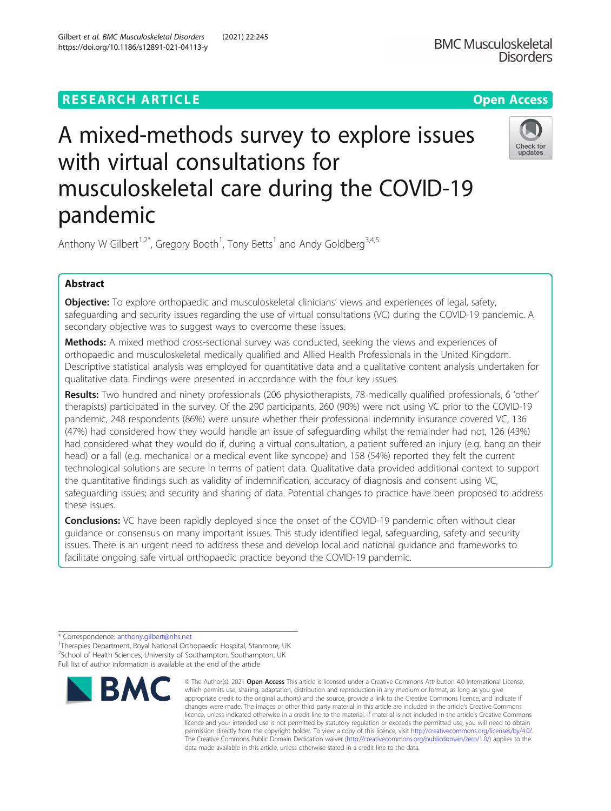## **RESEARCH ARTICLE Example 2014 12:30 The Contract of Contract ACCESS**

# A mixed-methods survey to explore issues with virtual consultations for musculoskeletal care during the COVID-19 pandemic



Anthony W Gilbert<sup>1,2\*</sup>, Gregory Booth<sup>1</sup>, Tony Betts<sup>1</sup> and Andy Goldberg<sup>3,4,5</sup>

### Abstract

**Objective:** To explore orthopaedic and musculoskeletal clinicians' views and experiences of legal, safety, safeguarding and security issues regarding the use of virtual consultations (VC) during the COVID-19 pandemic. A secondary objective was to suggest ways to overcome these issues.

**Methods:** A mixed method cross-sectional survey was conducted, seeking the views and experiences of orthopaedic and musculoskeletal medically qualified and Allied Health Professionals in the United Kingdom. Descriptive statistical analysis was employed for quantitative data and a qualitative content analysis undertaken for qualitative data. Findings were presented in accordance with the four key issues.

Results: Two hundred and ninety professionals (206 physiotherapists, 78 medically qualified professionals, 6 'other' therapists) participated in the survey. Of the 290 participants, 260 (90%) were not using VC prior to the COVID-19 pandemic, 248 respondents (86%) were unsure whether their professional indemnity insurance covered VC, 136 (47%) had considered how they would handle an issue of safeguarding whilst the remainder had not, 126 (43%) had considered what they would do if, during a virtual consultation, a patient suffered an injury (e.g. bang on their head) or a fall (e.g. mechanical or a medical event like syncope) and 158 (54%) reported they felt the current technological solutions are secure in terms of patient data. Qualitative data provided additional context to support the quantitative findings such as validity of indemnification, accuracy of diagnosis and consent using VC, safeguarding issues; and security and sharing of data. Potential changes to practice have been proposed to address these issues.

**Conclusions:** VC have been rapidly deployed since the onset of the COVID-19 pandemic often without clear guidance or consensus on many important issues. This study identified legal, safeguarding, safety and security issues. There is an urgent need to address these and develop local and national guidance and frameworks to facilitate ongoing safe virtual orthopaedic practice beyond the COVID-19 pandemic.

\* Correspondence: [anthony.gilbert@nhs.net](mailto:anthony.gilbert@nhs.net) <sup>1</sup>

<sup>1</sup>Therapies Department, Royal National Orthopaedic Hospital, Stanmore, UK <sup>2</sup>School of Health Sciences, University of Southampton, Southampton, UK Full list of author information is available at the end of the article



<sup>©</sup> The Author(s), 2021 **Open Access** This article is licensed under a Creative Commons Attribution 4.0 International License, which permits use, sharing, adaptation, distribution and reproduction in any medium or format, as long as you give appropriate credit to the original author(s) and the source, provide a link to the Creative Commons licence, and indicate if changes were made. The images or other third party material in this article are included in the article's Creative Commons licence, unless indicated otherwise in a credit line to the material. If material is not included in the article's Creative Commons licence and your intended use is not permitted by statutory regulation or exceeds the permitted use, you will need to obtain permission directly from the copyright holder. To view a copy of this licence, visit [http://creativecommons.org/licenses/by/4.0/.](http://creativecommons.org/licenses/by/4.0/) The Creative Commons Public Domain Dedication waiver [\(http://creativecommons.org/publicdomain/zero/1.0/](http://creativecommons.org/publicdomain/zero/1.0/)) applies to the data made available in this article, unless otherwise stated in a credit line to the data.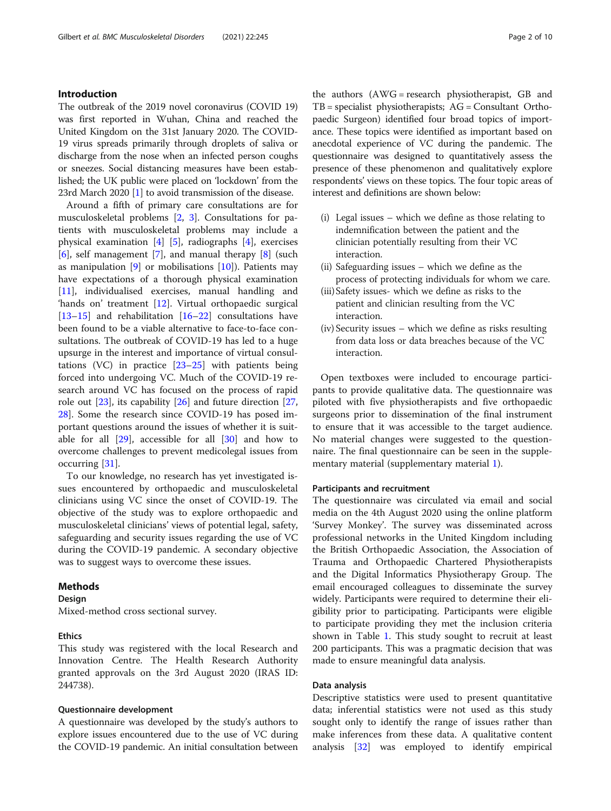#### Introduction

The outbreak of the 2019 novel coronavirus (COVID 19) was first reported in Wuhan, China and reached the United Kingdom on the 31st January 2020. The COVID-19 virus spreads primarily through droplets of saliva or discharge from the nose when an infected person coughs or sneezes. Social distancing measures have been established; the UK public were placed on 'lockdown' from the 23rd March 2020 [[1\]](#page-8-0) to avoid transmission of the disease.

Around a fifth of primary care consultations are for musculoskeletal problems [\[2](#page-8-0), [3](#page-8-0)]. Consultations for patients with musculoskeletal problems may include a physical examination [\[4](#page-8-0)] [\[5](#page-8-0)], radiographs [\[4](#page-8-0)], exercises  $[6]$  $[6]$ , self management  $[7]$  $[7]$ , and manual therapy  $[8]$  $[8]$  $[8]$  (such as manipulation  $[9]$  $[9]$  or mobilisations  $[10]$  $[10]$ ). Patients may have expectations of a thorough physical examination [[11\]](#page-8-0), individualised exercises, manual handling and 'hands on' treatment [[12\]](#page-8-0). Virtual orthopaedic surgical  $[13–15]$  $[13–15]$  $[13–15]$  $[13–15]$  $[13–15]$  and rehabilitation  $[16–22]$  $[16–22]$  $[16–22]$  $[16–22]$  $[16–22]$  consultations have been found to be a viable alternative to face-to-face consultations. The outbreak of COVID-19 has led to a huge upsurge in the interest and importance of virtual consultations (VC) in practice  $[23-25]$  $[23-25]$  $[23-25]$  $[23-25]$  with patients being forced into undergoing VC. Much of the COVID-19 research around VC has focused on the process of rapid role out [[23\]](#page-9-0), its capability [[26](#page-9-0)] and future direction [[27](#page-9-0), [28\]](#page-9-0). Some the research since COVID-19 has posed important questions around the issues of whether it is suitable for all  $[29]$  $[29]$  $[29]$ , accessible for all  $[30]$  $[30]$  and how to overcome challenges to prevent medicolegal issues from occurring [\[31\]](#page-9-0).

To our knowledge, no research has yet investigated issues encountered by orthopaedic and musculoskeletal clinicians using VC since the onset of COVID-19. The objective of the study was to explore orthopaedic and musculoskeletal clinicians' views of potential legal, safety, safeguarding and security issues regarding the use of VC during the COVID-19 pandemic. A secondary objective was to suggest ways to overcome these issues.

#### Methods

#### Design

Mixed-method cross sectional survey.

#### Ethics

This study was registered with the local Research and Innovation Centre. The Health Research Authority granted approvals on the 3rd August 2020 (IRAS ID: 244738).

#### Questionnaire development

A questionnaire was developed by the study's authors to explore issues encountered due to the use of VC during the COVID-19 pandemic. An initial consultation between

the authors (AWG = research physiotherapist, GB and  $TB = specialist$  physiotherapists;  $AG =$ Consultant Orthopaedic Surgeon) identified four broad topics of importance. These topics were identified as important based on anecdotal experience of VC during the pandemic. The questionnaire was designed to quantitatively assess the presence of these phenomenon and qualitatively explore respondents' views on these topics. The four topic areas of interest and definitions are shown below:

- (i) Legal issues which we define as those relating to indemnification between the patient and the clinician potentially resulting from their VC interaction.
- (ii) Safeguarding issues which we define as the process of protecting individuals for whom we care.
- (iii)Safety issues- which we define as risks to the patient and clinician resulting from the VC interaction.
- (iv) Security issues which we define as risks resulting from data loss or data breaches because of the VC interaction.

Open textboxes were included to encourage participants to provide qualitative data. The questionnaire was piloted with five physiotherapists and five orthopaedic surgeons prior to dissemination of the final instrument to ensure that it was accessible to the target audience. No material changes were suggested to the questionnaire. The final questionnaire can be seen in the supplementary material (supplementary material [1](#page-8-0)).

#### Participants and recruitment

The questionnaire was circulated via email and social media on the 4th August 2020 using the online platform 'Survey Monkey'. The survey was disseminated across professional networks in the United Kingdom including the British Orthopaedic Association, the Association of Trauma and Orthopaedic Chartered Physiotherapists and the Digital Informatics Physiotherapy Group. The email encouraged colleagues to disseminate the survey widely. Participants were required to determine their eligibility prior to participating. Participants were eligible to participate providing they met the inclusion criteria shown in Table [1](#page-2-0). This study sought to recruit at least 200 participants. This was a pragmatic decision that was made to ensure meaningful data analysis.

#### Data analysis

Descriptive statistics were used to present quantitative data; inferential statistics were not used as this study sought only to identify the range of issues rather than make inferences from these data. A qualitative content analysis [\[32](#page-9-0)] was employed to identify empirical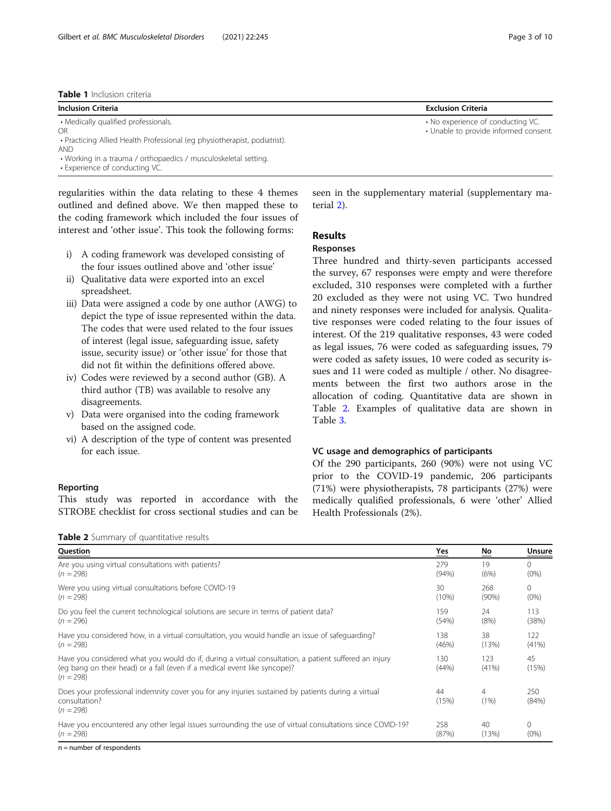#### <span id="page-2-0"></span>Table 1 Inclusion criteria

| <b>IMMIL I</b> IIILIUSIUII LIILLIIU                                       |                                       |  |
|---------------------------------------------------------------------------|---------------------------------------|--|
| <b>Inclusion Criteria</b>                                                 | <b>Exclusion Criteria</b>             |  |
| • Medically qualified professionals.                                      | • No experience of conducting VC.     |  |
| OR.                                                                       | • Unable to provide informed consent. |  |
| • Practicing Allied Health Professional (eg physiotherapist, podiatrist). |                                       |  |
| <b>AND</b>                                                                |                                       |  |

• Working in a trauma / orthopaedics / musculoskeletal setting. • Experience of conducting VC.

regularities within the data relating to these 4 themes outlined and defined above. We then mapped these to the coding framework which included the four issues of interest and 'other issue'. This took the following forms:

- i) A coding framework was developed consisting of the four issues outlined above and 'other issue'
- ii) Qualitative data were exported into an excel spreadsheet.
- iii) Data were assigned a code by one author (AWG) to depict the type of issue represented within the data. The codes that were used related to the four issues of interest (legal issue, safeguarding issue, safety issue, security issue) or 'other issue' for those that did not fit within the definitions offered above.
- iv) Codes were reviewed by a second author (GB). A third author (TB) was available to resolve any disagreements.
- v) Data were organised into the coding framework based on the assigned code.
- vi) A description of the type of content was presented for each issue.

#### Reporting

This study was reported in accordance with the STROBE checklist for cross sectional studies and can be

Table 2 Summary of quantitative results

seen in the supplementary material (supplementary material [2](#page-8-0)).

#### Results

#### Responses

Three hundred and thirty-seven participants accessed the survey, 67 responses were empty and were therefore excluded, 310 responses were completed with a further 20 excluded as they were not using VC. Two hundred and ninety responses were included for analysis. Qualitative responses were coded relating to the four issues of interest. Of the 219 qualitative responses, 43 were coded as legal issues, 76 were coded as safeguarding issues, 79 were coded as safety issues, 10 were coded as security issues and 11 were coded as multiple / other. No disagreements between the first two authors arose in the allocation of coding. Quantitative data are shown in Table 2. Examples of qualitative data are shown in Table [3.](#page-3-0)

#### VC usage and demographics of participants

Of the 290 participants, 260 (90%) were not using VC prior to the COVID-19 pandemic, 206 participants (71%) were physiotherapists, 78 participants (27%) were medically qualified professionals, 6 were 'other' Allied Health Professionals (2%).

| Question                                                                                                                                                                                          | $Yes$        | No           | Unsure       |
|---------------------------------------------------------------------------------------------------------------------------------------------------------------------------------------------------|--------------|--------------|--------------|
| Are you using virtual consultations with patients?                                                                                                                                                | 279          | 19           | $\Omega$     |
| $(n = 298)$                                                                                                                                                                                       | (94%)        | (6%)         | $(0\%)$      |
| Were you using virtual consultations before COVID-19                                                                                                                                              | 30           | 268          | $\Omega$     |
| $(n = 298)$                                                                                                                                                                                       | (10%)        | $(90\%)$     | $(0\%)$      |
| Do you feel the current technological solutions are secure in terms of patient data?                                                                                                              | 159          | 24           | 113          |
| $(n = 296)$                                                                                                                                                                                       | (54%)        | (8%)         | (38%)        |
| Have you considered how, in a virtual consultation, you would handle an issue of safequarding?                                                                                                    | 138          | 38           | 122          |
| $(n = 298)$                                                                                                                                                                                       | (46%)        | (13%)        | (41%)        |
| Have you considered what you would do if, during a virtual consultation, a patient suffered an injury<br>(eg bang on their head) or a fall (even if a medical event like syncope)?<br>$(n = 298)$ | 130<br>(44%) | 123<br>(41%) | 45<br>(15%)  |
| Does your professional indemnity cover you for any injuries sustained by patients during a virtual<br>consultation?<br>$(n = 298)$                                                                | 44<br>(15%)  | 4<br>(1%)    | 250<br>(84%) |
| Have you encountered any other legal issues surrounding the use of virtual consultations since COVID-19?                                                                                          | 258          | 40           | $\Omega$     |
| $(n = 298)$                                                                                                                                                                                       | (87%)        | (13%)        | (0%          |
| $n =$ number of respondents                                                                                                                                                                       |              |              |              |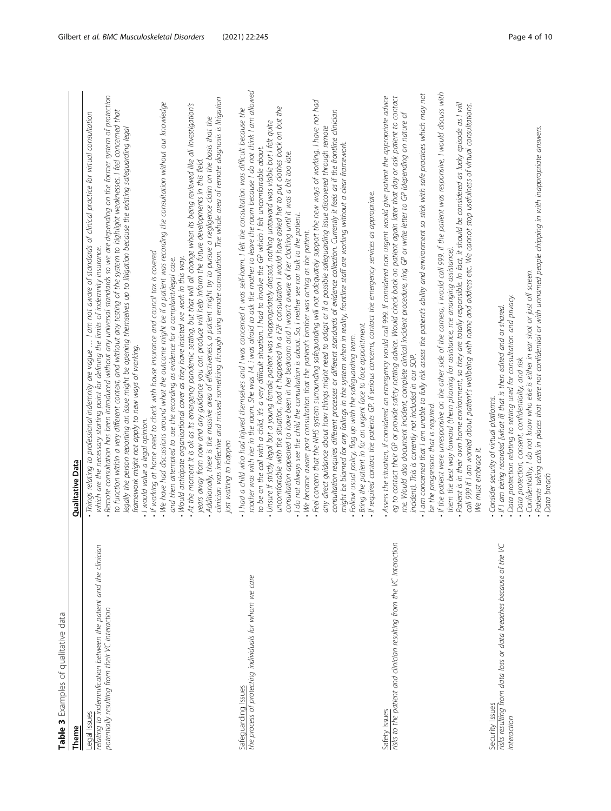<span id="page-3-0"></span>

| Theme                                                                                                                                | <b>Qualitative Data</b>                                                                                                                                                                                                                                                                                                                                                                                                                                                                                                                                                                                                                                                                                                                                                                                                                                                                                                                                                                                                                                                                                                                                                                                                                                                                                                                                                                                                                                                                                                                                                                                                                                                                                                                                                                   |
|--------------------------------------------------------------------------------------------------------------------------------------|-------------------------------------------------------------------------------------------------------------------------------------------------------------------------------------------------------------------------------------------------------------------------------------------------------------------------------------------------------------------------------------------------------------------------------------------------------------------------------------------------------------------------------------------------------------------------------------------------------------------------------------------------------------------------------------------------------------------------------------------------------------------------------------------------------------------------------------------------------------------------------------------------------------------------------------------------------------------------------------------------------------------------------------------------------------------------------------------------------------------------------------------------------------------------------------------------------------------------------------------------------------------------------------------------------------------------------------------------------------------------------------------------------------------------------------------------------------------------------------------------------------------------------------------------------------------------------------------------------------------------------------------------------------------------------------------------------------------------------------------------------------------------------------------|
| relating to indemnification between the patient and the clinician<br>potentially resulting from their VC interaction<br>Legal Issues | Remote consultation has been introduced without any universal standards so we are depending on the former system of protection<br>clinician was ineffective and missed something through using remote consultation. The whole area of remote diagnosis is litigation<br>. We have had discussions around what the outcome might be if a patient was recording the consultation without our knowledge<br>. At the moment it is ok as its emergency pandemic setting, but that will all change when its being reviewed like all investigation's<br>to function within a very different context, and without any testing of the system to highlight weaknesses. I feel concerned that<br>Things relating to professional indernnity are vague  I am not aware of standards of clinical practice for virtual consultation<br>. Additionally, there is the massive area of effectiveness, a patient might try to pursue a negligence claim on the basis that the<br>legally the person reporting an issue might be opening themselves up to litigation because the existing safeguarding legal<br>years away from now and any guidance you can produce will help inform the future developments in this field.<br>which are the necessary starting point for defining the limits of indemnity insurance.<br>• If working at home need to check with house insurance and council tax is covered<br>. Would anticipate organisational cover as they have insisted we work in this way.<br>and then attempted to use the recording as evidence for a complaint/legal case.<br>framework might not apply to new ways of working.<br>· I would value a legal opinion.<br>just waiting to happen                                                                                                     |
| Safeguarding Issues<br>the process of protecting individuals for whom we care                                                        | mother was with her in the room. She was 14. i was afraid to ask the mother to leave the room because I do not think I am allowed<br>- Feel concern that the NHS system surrounding safeguarding will not adequately support the new ways of working, I have not had<br>uncomfortable with the situation, had it happened in a F2F consultation I would have asked her to put clothes back on but the<br>. I had a child who had injured themselves and I was concerned it was self-harm. I felt the consultation was difficult because the<br>consultation requires different processes or different standards of evidence collection. Currently it feels as if the frontline clinician<br>- Unsure if strictly legal but a young female patient was inappropriately dressed, nothing untoward was visible but I felt quite<br>any direct guidance about how things might need to adapt or if a possible safeguarding issue discovered through remote<br>might be blamed for any failings in the system when in reality, frontline staff are working without a clear framework.<br>to be on the call with a child, it's a very difficult situation. I had to involve the GP which I felt uncomfortable about.<br>consultation appeared to have been in her bedroom and I wasn't aware of her clothing until it was a bit too late.<br>If required contact the patients GP. If serious concerns, contact the emergency services as appropriate.<br>$\cdot$ I do not always see the child the consultation is about. So, I neither see nor talk to the patient.<br>• We became aware post consultation that the patient's brother was acting as the patient.<br>· Bring the patient in for an urgent face to face appointment.<br>Follow usual policy, flag up with the safeguarding team. |
| Safety Issues<br>risks to the patient and clinician resulting from the VC interaction                                                | If the patient were unresponsive on the other side of the camera, I would call 999. If the patient was responsive, I would discuss with<br>I am concerned that I am unable to fully risk assess the patient's ability and environment so stick with safe practices which may not<br>Assess the situation, if considered an emergency would call 999. If considered non urgent would give patient the appropriate advice<br>eg to contact their GP or provide safety netting advice. Would check back on patient again later that day or ask patient to contact<br>Patient is in their own home environment, so they are totally responsible. In fact, it should be considered as lucky episode as I will<br>call 999 if I am worried about patient's wellbeing with name and address etc. We cannot stop usefulness of vittual consultations.<br>me. Would also document incident, complete clinical incident procedure, ring GP or write letter to GP (depending on nature of<br>them the best way forward (them phoning for assistance, me arranging assistance).<br>incident). This is currently not included in our SOP.<br>be the progression that is required.<br>We must embrace it.                                                                                                                                                                                                                                                                                                                                                                                                                                                                                                                                                                                               |
| risks resulting from data loss or data breaches because of the VC<br>Security Issues<br>interaction                                  | Patients taking calls in places that were not confidential or with unnamed people chipping in with inappropriate answers.<br>$\sim$ Confidentiality, I do not know who else is either in ear shot or just off screen.<br>• Data protection relating to setting used for consultation and privacy.<br>• If I am being recorded [what if] that is then edited and or shared.<br>· Data protection, consent, confidentiality, and risk.<br>Consider security of virtual platforms.<br>Data brood                                                                                                                                                                                                                                                                                                                                                                                                                                                                                                                                                                                                                                                                                                                                                                                                                                                                                                                                                                                                                                                                                                                                                                                                                                                                                             |

Data breach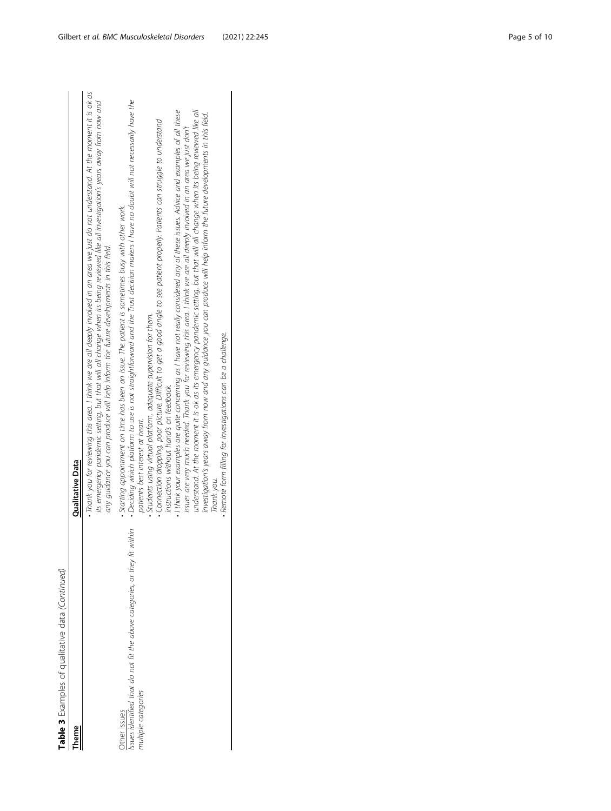Table 3 Examples of qualitative data (Continued) **Table 3** Examples of qualitative data (Continued)

| heme                                                                                                                 | Qualitative Data                                                                                                                                                                                                                                                                                                                                                     |
|----------------------------------------------------------------------------------------------------------------------|----------------------------------------------------------------------------------------------------------------------------------------------------------------------------------------------------------------------------------------------------------------------------------------------------------------------------------------------------------------------|
|                                                                                                                      | • Thank you for reviewing this area. I think we are all deeply involved in an area we just do not understand. At the moment it is ok as<br>its emergency pandemic setting, but that will all change when its being reviewed like all investigation's years away from now and<br>any quidance you can produce will help inform the future developments in this field. |
| within<br>issues identified that do not fit the above categories, or they fit<br>nultiple categories<br>Jther issues | • Deciding which platform to use is not straightforward and the Trust decision makers I have no doubt will not necessarily have the<br>. Starting appointment on time has been an issue. The patient is sometimes busy with other work.<br>patients best interest at heart.                                                                                          |
|                                                                                                                      | • Connection dropping, poor picture. Difficult to get a good angle to see patient properly. Patients can struggle to understand<br>$\bullet$ Students using virtual platform, adequate supervision for them.<br>instructions without hand's on feedback.                                                                                                             |
|                                                                                                                      | $\cdot$ I think your examples are quite concerning as I have not really considered any of these issues. Advice and examples of all these<br>issues are very much needed. Thank you for reviewing this area. I think we are all deeply involved in an area we just don't                                                                                              |
|                                                                                                                      | understand. At the moment it is ok as its emergency pandemic setting, but that will all change when its being reviewed like all<br>investigation's years away from now and any guidance you can produce will help inform the future developments in this field.                                                                                                      |
|                                                                                                                      | · Remote form filling for investigations can be a challenge.<br>Thank you.                                                                                                                                                                                                                                                                                           |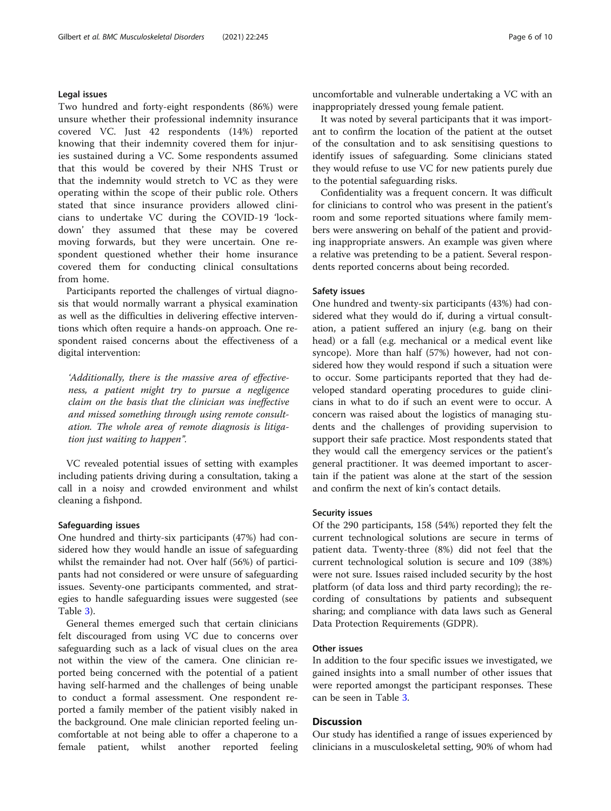#### Legal issues

Two hundred and forty-eight respondents (86%) were unsure whether their professional indemnity insurance covered VC. Just 42 respondents (14%) reported knowing that their indemnity covered them for injuries sustained during a VC. Some respondents assumed that this would be covered by their NHS Trust or that the indemnity would stretch to VC as they were operating within the scope of their public role. Others stated that since insurance providers allowed clinicians to undertake VC during the COVID-19 'lockdown' they assumed that these may be covered moving forwards, but they were uncertain. One respondent questioned whether their home insurance covered them for conducting clinical consultations from home.

Participants reported the challenges of virtual diagnosis that would normally warrant a physical examination as well as the difficulties in delivering effective interventions which often require a hands-on approach. One respondent raised concerns about the effectiveness of a digital intervention:

'Additionally, there is the massive area of effectiveness, a patient might try to pursue a negligence claim on the basis that the clinician was ineffective and missed something through using remote consultation. The whole area of remote diagnosis is litigation just waiting to happen".

VC revealed potential issues of setting with examples including patients driving during a consultation, taking a call in a noisy and crowded environment and whilst cleaning a fishpond.

#### Safeguarding issues

One hundred and thirty-six participants (47%) had considered how they would handle an issue of safeguarding whilst the remainder had not. Over half (56%) of participants had not considered or were unsure of safeguarding issues. Seventy-one participants commented, and strategies to handle safeguarding issues were suggested (see Table [3\)](#page-3-0).

General themes emerged such that certain clinicians felt discouraged from using VC due to concerns over safeguarding such as a lack of visual clues on the area not within the view of the camera. One clinician reported being concerned with the potential of a patient having self-harmed and the challenges of being unable to conduct a formal assessment. One respondent reported a family member of the patient visibly naked in the background. One male clinician reported feeling uncomfortable at not being able to offer a chaperone to a female patient, whilst another reported feeling

uncomfortable and vulnerable undertaking a VC with an inappropriately dressed young female patient.

It was noted by several participants that it was important to confirm the location of the patient at the outset of the consultation and to ask sensitising questions to identify issues of safeguarding. Some clinicians stated they would refuse to use VC for new patients purely due to the potential safeguarding risks.

Confidentiality was a frequent concern. It was difficult for clinicians to control who was present in the patient's room and some reported situations where family members were answering on behalf of the patient and providing inappropriate answers. An example was given where a relative was pretending to be a patient. Several respondents reported concerns about being recorded.

#### Safety issues

One hundred and twenty-six participants (43%) had considered what they would do if, during a virtual consultation, a patient suffered an injury (e.g. bang on their head) or a fall (e.g. mechanical or a medical event like syncope). More than half (57%) however, had not considered how they would respond if such a situation were to occur. Some participants reported that they had developed standard operating procedures to guide clinicians in what to do if such an event were to occur. A concern was raised about the logistics of managing students and the challenges of providing supervision to support their safe practice. Most respondents stated that they would call the emergency services or the patient's general practitioner. It was deemed important to ascertain if the patient was alone at the start of the session and confirm the next of kin's contact details.

#### Security issues

Of the 290 participants, 158 (54%) reported they felt the current technological solutions are secure in terms of patient data. Twenty-three (8%) did not feel that the current technological solution is secure and 109 (38%) were not sure. Issues raised included security by the host platform (of data loss and third party recording); the recording of consultations by patients and subsequent sharing; and compliance with data laws such as General Data Protection Requirements (GDPR).

#### Other issues

In addition to the four specific issues we investigated, we gained insights into a small number of other issues that were reported amongst the participant responses. These can be seen in Table [3](#page-3-0).

#### **Discussion**

Our study has identified a range of issues experienced by clinicians in a musculoskeletal setting, 90% of whom had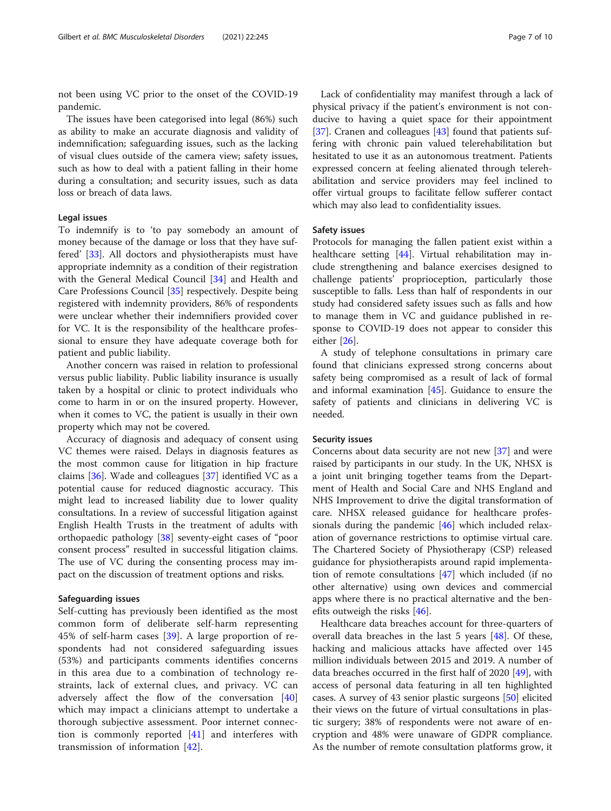not been using VC prior to the onset of the COVID-19 pandemic.

The issues have been categorised into legal (86%) such as ability to make an accurate diagnosis and validity of indemnification; safeguarding issues, such as the lacking of visual clues outside of the camera view; safety issues, such as how to deal with a patient falling in their home during a consultation; and security issues, such as data loss or breach of data laws.

#### Legal issues

To indemnify is to 'to pay somebody an amount of money because of the damage or loss that they have suffered' [[33\]](#page-9-0). All doctors and physiotherapists must have appropriate indemnity as a condition of their registration with the General Medical Council [[34\]](#page-9-0) and Health and Care Professions Council [\[35\]](#page-9-0) respectively. Despite being registered with indemnity providers, 86% of respondents were unclear whether their indemnifiers provided cover for VC. It is the responsibility of the healthcare professional to ensure they have adequate coverage both for patient and public liability.

Another concern was raised in relation to professional versus public liability. Public liability insurance is usually taken by a hospital or clinic to protect individuals who come to harm in or on the insured property. However, when it comes to VC, the patient is usually in their own property which may not be covered.

Accuracy of diagnosis and adequacy of consent using VC themes were raised. Delays in diagnosis features as the most common cause for litigation in hip fracture claims [[36\]](#page-9-0). Wade and colleagues [[37](#page-9-0)] identified VC as a potential cause for reduced diagnostic accuracy. This might lead to increased liability due to lower quality consultations. In a review of successful litigation against English Health Trusts in the treatment of adults with orthopaedic pathology [\[38](#page-9-0)] seventy-eight cases of "poor consent process" resulted in successful litigation claims. The use of VC during the consenting process may impact on the discussion of treatment options and risks.

#### Safeguarding issues

Self-cutting has previously been identified as the most common form of deliberate self-harm representing 45% of self-harm cases [\[39](#page-9-0)]. A large proportion of respondents had not considered safeguarding issues (53%) and participants comments identifies concerns in this area due to a combination of technology restraints, lack of external clues, and privacy. VC can adversely affect the flow of the conversation [\[40](#page-9-0)] which may impact a clinicians attempt to undertake a thorough subjective assessment. Poor internet connection is commonly reported [[41\]](#page-9-0) and interferes with transmission of information [\[42](#page-9-0)].

Lack of confidentiality may manifest through a lack of physical privacy if the patient's environment is not conducive to having a quiet space for their appointment [[37\]](#page-9-0). Cranen and colleagues [\[43](#page-9-0)] found that patients suffering with chronic pain valued telerehabilitation but hesitated to use it as an autonomous treatment. Patients expressed concern at feeling alienated through telerehabilitation and service providers may feel inclined to offer virtual groups to facilitate fellow sufferer contact which may also lead to confidentiality issues.

#### Safety issues

Protocols for managing the fallen patient exist within a healthcare setting [[44\]](#page-9-0). Virtual rehabilitation may include strengthening and balance exercises designed to challenge patients' proprioception, particularly those susceptible to falls. Less than half of respondents in our study had considered safety issues such as falls and how to manage them in VC and guidance published in response to COVID-19 does not appear to consider this either [\[26](#page-9-0)].

A study of telephone consultations in primary care found that clinicians expressed strong concerns about safety being compromised as a result of lack of formal and informal examination [\[45](#page-9-0)]. Guidance to ensure the safety of patients and clinicians in delivering VC is needed.

#### Security issues

Concerns about data security are not new [[37](#page-9-0)] and were raised by participants in our study. In the UK, NHSX is a joint unit bringing together teams from the Department of Health and Social Care and NHS England and NHS Improvement to drive the digital transformation of care. NHSX released guidance for healthcare professionals during the pandemic [[46\]](#page-9-0) which included relaxation of governance restrictions to optimise virtual care. The Chartered Society of Physiotherapy (CSP) released guidance for physiotherapists around rapid implementation of remote consultations [\[47\]](#page-9-0) which included (if no other alternative) using own devices and commercial apps where there is no practical alternative and the benefits outweigh the risks [\[46](#page-9-0)].

Healthcare data breaches account for three-quarters of overall data breaches in the last 5 years [\[48](#page-9-0)]. Of these, hacking and malicious attacks have affected over 145 million individuals between 2015 and 2019. A number of data breaches occurred in the first half of 2020 [[49](#page-9-0)], with access of personal data featuring in all ten highlighted cases. A survey of 43 senior plastic surgeons [\[50](#page-9-0)] elicited their views on the future of virtual consultations in plastic surgery; 38% of respondents were not aware of encryption and 48% were unaware of GDPR compliance. As the number of remote consultation platforms grow, it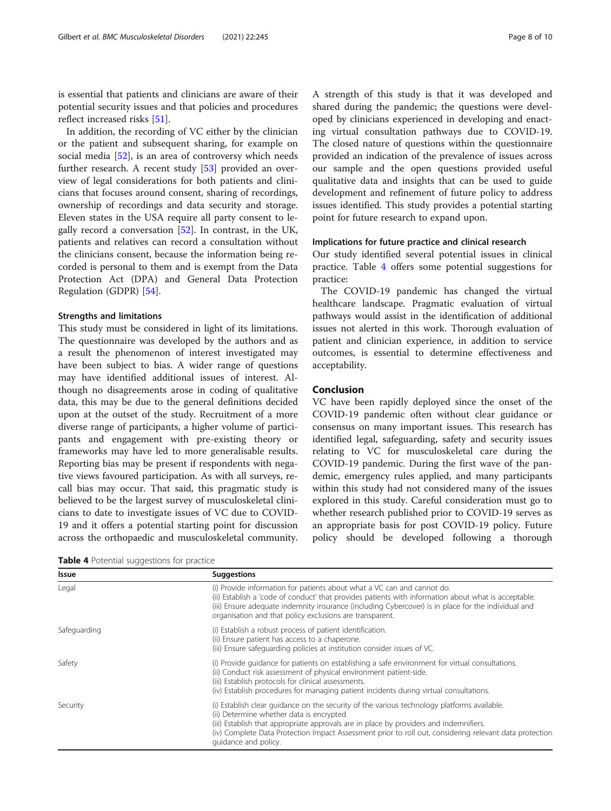is essential that patients and clinicians are aware of their potential security issues and that policies and procedures reflect increased risks [\[51\]](#page-9-0).

In addition, the recording of VC either by the clinician or the patient and subsequent sharing, for example on social media [\[52](#page-9-0)], is an area of controversy which needs further research. A recent study [[53](#page-9-0)] provided an overview of legal considerations for both patients and clinicians that focuses around consent, sharing of recordings, ownership of recordings and data security and storage. Eleven states in the USA require all party consent to legally record a conversation [\[52\]](#page-9-0). In contrast, in the UK, patients and relatives can record a consultation without the clinicians consent, because the information being recorded is personal to them and is exempt from the Data Protection Act (DPA) and General Data Protection Regulation (GDPR) [[54\]](#page-9-0).

#### Strengths and limitations

This study must be considered in light of its limitations. The questionnaire was developed by the authors and as a result the phenomenon of interest investigated may have been subject to bias. A wider range of questions may have identified additional issues of interest. Although no disagreements arose in coding of qualitative data, this may be due to the general definitions decided upon at the outset of the study. Recruitment of a more diverse range of participants, a higher volume of participants and engagement with pre-existing theory or frameworks may have led to more generalisable results. Reporting bias may be present if respondents with negative views favoured participation. As with all surveys, recall bias may occur. That said, this pragmatic study is believed to be the largest survey of musculoskeletal clinicians to date to investigate issues of VC due to COVID-19 and it offers a potential starting point for discussion across the orthopaedic and musculoskeletal community.

**Table 4** Potential suggestions for practice

A strength of this study is that it was developed and shared during the pandemic; the questions were developed by clinicians experienced in developing and enacting virtual consultation pathways due to COVID-19. The closed nature of questions within the questionnaire provided an indication of the prevalence of issues across our sample and the open questions provided useful qualitative data and insights that can be used to guide development and refinement of future policy to address issues identified. This study provides a potential starting point for future research to expand upon.

#### Implications for future practice and clinical research

Our study identified several potential issues in clinical practice. Table 4 offers some potential suggestions for practice:

The COVID-19 pandemic has changed the virtual healthcare landscape. Pragmatic evaluation of virtual pathways would assist in the identification of additional issues not alerted in this work. Thorough evaluation of patient and clinician experience, in addition to service outcomes, is essential to determine effectiveness and acceptability.

#### Conclusion

VC have been rapidly deployed since the onset of the COVID-19 pandemic often without clear guidance or consensus on many important issues. This research has identified legal, safeguarding, safety and security issues relating to VC for musculoskeletal care during the COVID-19 pandemic. During the first wave of the pandemic, emergency rules applied, and many participants within this study had not considered many of the issues explored in this study. Careful consideration must go to whether research published prior to COVID-19 serves as an appropriate basis for post COVID-19 policy. Future policy should be developed following a thorough

| Issue        | <b>Suggestions</b>                                                                                                                                                                                                                                                                                                                                                   |
|--------------|----------------------------------------------------------------------------------------------------------------------------------------------------------------------------------------------------------------------------------------------------------------------------------------------------------------------------------------------------------------------|
| Legal        | (i) Provide information for patients about what a VC can and cannot do.<br>(ii) Establish a 'code of conduct' that provides patients with information about what is acceptable.<br>(iii) Ensure adequate indemnity insurance (including Cybercover) is in place for the individual and<br>organisation and that policy exclusions are transparent.                   |
| Safeguarding | (i) Establish a robust process of patient identification.<br>(ii) Ensure patient has access to a chaperone.<br>(iii) Ensure safequarding policies at institution consider issues of VC.                                                                                                                                                                              |
| Safety       | (i) Provide quidance for patients on establishing a safe environment for virtual consultations.<br>(ii) Conduct risk assessment of physical environment patient-side.<br>(iii) Establish protocols for clinical assessments.<br>(iv) Establish procedures for managing patient incidents during virtual consultations.                                               |
| Security     | (i) Establish clear quidance on the security of the various technology platforms available.<br>(ii) Determine whether data is encrypted<br>(iii) Establish that appropriate approvals are in place by providers and indemnifiers.<br>(iv) Complete Data Protection Impact Assessment prior to roll out, considering relevant data protection<br>quidance and policy. |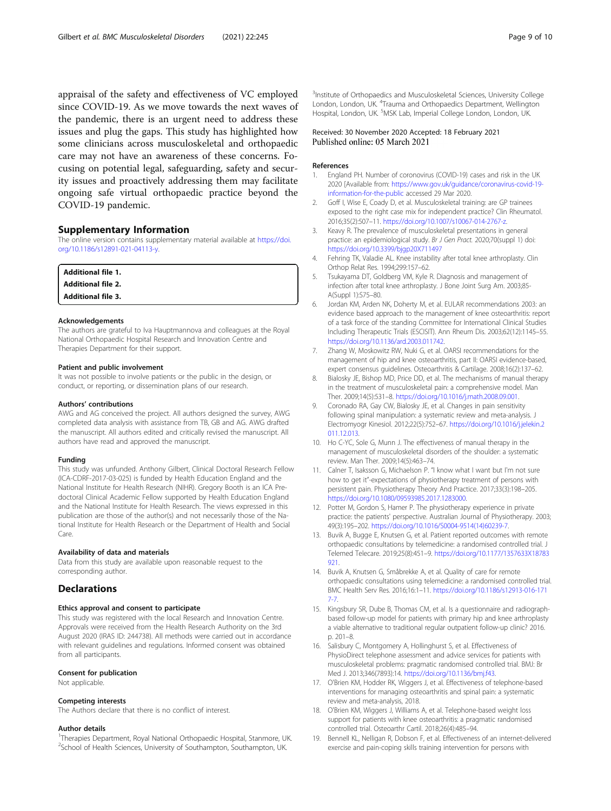<span id="page-8-0"></span>appraisal of the safety and effectiveness of VC employed since COVID-19. As we move towards the next waves of the pandemic, there is an urgent need to address these issues and plug the gaps. This study has highlighted how some clinicians across musculoskeletal and orthopaedic care may not have an awareness of these concerns. Focusing on potential legal, safeguarding, safety and security issues and proactively addressing them may facilitate ongoing safe virtual orthopaedic practice beyond the COVID-19 pandemic.

#### Supplementary Information

The online version contains supplementary material available at [https://doi.](https://doi.org/10.1186/s12891-021-04113-y) [org/10.1186/s12891-021-04113-y](https://doi.org/10.1186/s12891-021-04113-y).

| <b>Additional file 1.</b> |  |
|---------------------------|--|
| <b>Additional file 2.</b> |  |
| <b>Additional file 3.</b> |  |

#### Acknowledgements

The authors are grateful to Iva Hauptmannova and colleagues at the Royal National Orthopaedic Hospital Research and Innovation Centre and Therapies Department for their support.

#### Patient and public involvement

It was not possible to involve patients or the public in the design, or conduct, or reporting, or dissemination plans of our research.

#### Authors' contributions

AWG and AG conceived the project. All authors designed the survey, AWG completed data analysis with assistance from TB, GB and AG. AWG drafted the manuscript. All authors edited and critically revised the manuscript. All authors have read and approved the manuscript.

#### Funding

This study was unfunded. Anthony Gilbert, Clinical Doctoral Research Fellow (ICA-CDRF-2017-03-025) is funded by Health Education England and the National Institute for Health Research (NIHR). Gregory Booth is an ICA Predoctoral Clinical Academic Fellow supported by Health Education England and the National Institute for Health Research. The views expressed in this publication are those of the author(s) and not necessarily those of the National Institute for Health Research or the Department of Health and Social Care.

#### Availability of data and materials

Data from this study are available upon reasonable request to the corresponding author.

#### **Declarations**

#### Ethics approval and consent to participate

This study was registered with the local Research and Innovation Centre. Approvals were received from the Health Research Authority on the 3rd August 2020 (IRAS ID: 244738). All methods were carried out in accordance with relevant guidelines and regulations. Informed consent was obtained from all participants.

#### Consent for publication

Not applicable.

#### Competing interests

The Authors declare that there is no conflict of interest.

#### Author details

<sup>1</sup>Therapies Department, Royal National Orthopaedic Hospital, Stanmore, UK. <sup>2</sup>School of Health Sciences, University of Southampton, Southampton, UK.

<sup>3</sup>Institute of Orthopaedics and Musculoskeletal Sciences, University College London, London, UK. <sup>4</sup>Trauma and Orthopaedics Department, Wellington Hospital, London, UK. <sup>5</sup>MSK Lab, Imperial College London, London, UK

#### Received: 30 November 2020 Accepted: 18 February 2021 Published online: 05 March 2021

#### References

- 1. England PH. Number of coronovirus (COVID-19) cases and risk in the UK 2020 [Available from: [https://www.gov.uk/guidance/coronavirus-covid-19](https://www.gov.uk/guidance/coronavirus-covid-19-information-for-the-public) [information-for-the-public](https://www.gov.uk/guidance/coronavirus-covid-19-information-for-the-public) accessed 29 Mar 2020.
- 2. Goff I, Wise E, Coady D, et al. Musculoskeletal training: are GP trainees exposed to the right case mix for independent practice? Clin Rheumatol. 2016;35(2):507–11. <https://doi.org/10.1007/s10067-014-2767-z>.
- 3. Keavy R. The prevalence of musculoskeletal presentations in general practice: an epidemiological study. Br J Gen Pract. 2020;70(suppl 1) doi: <https://doi.org/10.3399/bjgp20X711497>
- 4. Fehring TK, Valadie AL. Knee instability after total knee arthroplasty. Clin Orthop Relat Res. 1994;299:157–62.
- 5. Tsukayama DT, Goldberg VM, Kyle R. Diagnosis and management of infection after total knee arthroplasty. J Bone Joint Surg Am. 2003;85- A(Suppl 1):S75–80.
- 6. Jordan KM, Arden NK, Doherty M, et al. EULAR recommendations 2003: an evidence based approach to the management of knee osteoarthritis: report of a task force of the standing Committee for International Clinical Studies Including Therapeutic Trials (ESCISIT). Ann Rheum Dis. 2003;62(12):1145–55. [https://doi.org/10.1136/ard.2003.011742.](https://doi.org/10.1136/ard.2003.011742)
- 7. Zhang W, Moskowitz RW, Nuki G, et al. OARSI recommendations for the management of hip and knee osteoarthritis, part II: OARSI evidence-based, expert consensus guidelines. Osteoarthritis & Cartilage. 2008;16(2):137–62.
- 8. Bialosky JE, Bishop MD, Price DD, et al. The mechanisms of manual therapy in the treatment of musculoskeletal pain: a comprehensive model. Man Ther. 2009;14(5):531–8. <https://doi.org/10.1016/j.math.2008.09.001>.
- 9. Coronado RA, Gay CW, Bialosky JE, et al. Changes in pain sensitivity following spinal manipulation: a systematic review and meta-analysis. J Electromyogr Kinesiol. 2012;22(5):752–67. [https://doi.org/10.1016/j.jelekin.2](https://doi.org/10.1016/j.jelekin.2011.12.013) [011.12.013](https://doi.org/10.1016/j.jelekin.2011.12.013).
- 10. Ho C-YC, Sole G, Munn J. The effectiveness of manual therapy in the management of musculoskeletal disorders of the shoulder: a systematic review. Man Ther. 2009;14(5):463–74.
- 11. Calner T, Isaksson G, Michaelson P. "I know what I want but I'm not sure how to get it"-expectations of physiotherapy treatment of persons with persistent pain. Physiotherapy Theory And Practice. 2017;33(3):198–205. <https://doi.org/10.1080/09593985.2017.1283000>.
- 12. Potter M, Gordon S, Hamer P. The physiotherapy experience in private practice: the patients' perspective. Australian Journal of Physiotherapy. 2003; 49(3):195–202. [https://doi.org/10.1016/S0004-9514\(14\)60239-7](https://doi.org/10.1016/S0004-9514(14)60239-7).
- 13. Buvik A, Bugge E, Knutsen G, et al. Patient reported outcomes with remote orthopaedic consultations by telemedicine: a randomised controlled trial. J Telemed Telecare. 2019;25(8):451–9. [https://doi.org/10.1177/1357633X18783](https://doi.org/10.1177/1357633X18783921) [921.](https://doi.org/10.1177/1357633X18783921)
- 14. Buvik A, Knutsen G, Småbrekke A, et al. Quality of care for remote orthopaedic consultations using telemedicine: a randomised controlled trial. BMC Health Serv Res. 2016;16:1–11. [https://doi.org/10.1186/s12913-016-171](https://doi.org/10.1186/s12913-016-1717-7) [7-7.](https://doi.org/10.1186/s12913-016-1717-7)
- 15. Kingsbury SR, Dube B, Thomas CM, et al. Is a questionnaire and radiographbased follow-up model for patients with primary hip and knee arthroplasty a viable alternative to traditional regular outpatient follow-up clinic? 2016. p. 201–8.
- 16. Salisbury C, Montgomery A, Hollinghurst S, et al. Effectiveness of PhysioDirect telephone assessment and advice services for patients with musculoskeletal problems: pragmatic randomised controlled trial. BMJ: Br Med J. 2013;346(7893):14. <https://doi.org/10.1136/bmj.f43>.
- 17. O'Brien KM, Hodder RK, Wiggers J, et al. Effectiveness of telephone-based interventions for managing osteoarthritis and spinal pain: a systematic review and meta-analysis, 2018.
- 18. O'Brien KM, Wiggers J, Williams A, et al. Telephone-based weight loss support for patients with knee osteoarthritis: a pragmatic randomised controlled trial. Osteoarthr Cartil. 2018;26(4):485–94.
- 19. Bennell KL, Nelligan R, Dobson F, et al. Effectiveness of an internet-delivered exercise and pain-coping skills training intervention for persons with